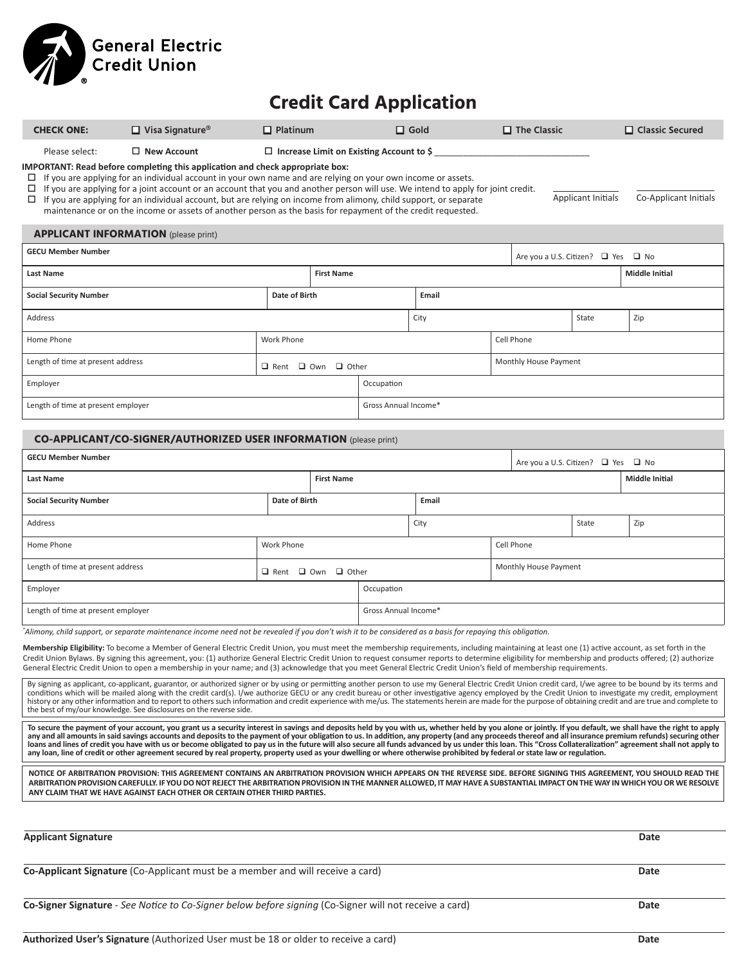

## **Credit Card Application**

| <b>CHECK ONE:</b>                                                                                                                                                                                                                                                                                                                                                                                                                                                                                                                                                                                                                                                                                                                                                                                                     | $\Box$ Visa Signature <sup>®</sup>                                                                     | $\Box$ Platinum   |                      | $\Box$ Gold           |            |  | $\Box$ The Classic                 |                                                                       | $\Box$ Classic Secured |  |
|-----------------------------------------------------------------------------------------------------------------------------------------------------------------------------------------------------------------------------------------------------------------------------------------------------------------------------------------------------------------------------------------------------------------------------------------------------------------------------------------------------------------------------------------------------------------------------------------------------------------------------------------------------------------------------------------------------------------------------------------------------------------------------------------------------------------------|--------------------------------------------------------------------------------------------------------|-------------------|----------------------|-----------------------|------------|--|------------------------------------|-----------------------------------------------------------------------|------------------------|--|
| $\Box$ New Account<br>$\Box$ Increase Limit on Existing Account to \$<br>Please select:<br><b>IMPORTANT: Read before completing this application and check appropriate box:</b><br>If you are applying for an individual account in your own name and are relying on your own income or assets.<br>□<br>If you are applying for a joint account or an account that you and another person will use. We intend to apply for joint credit.<br><b>Applicant Initials</b><br>Co-Applicant Initials<br>If you are applying for an individual account, but are relying on income from alimony, child support, or separate<br>□<br>maintenance or on the income or assets of another person as the basis for repayment of the credit requested.                                                                              |                                                                                                        |                   |                      |                       |            |  |                                    |                                                                       |                        |  |
|                                                                                                                                                                                                                                                                                                                                                                                                                                                                                                                                                                                                                                                                                                                                                                                                                       | <b>APPLICANT INFORMATION</b> (please print)                                                            |                   |                      |                       |            |  |                                    |                                                                       |                        |  |
| <b>GECU Member Number</b>                                                                                                                                                                                                                                                                                                                                                                                                                                                                                                                                                                                                                                                                                                                                                                                             |                                                                                                        |                   |                      |                       |            |  |                                    |                                                                       |                        |  |
| Last Name                                                                                                                                                                                                                                                                                                                                                                                                                                                                                                                                                                                                                                                                                                                                                                                                             |                                                                                                        |                   | <b>First Name</b>    |                       |            |  |                                    | Are you a U.S. Citizen? $\Box$ Yes $\Box$ No<br><b>Middle Initial</b> |                        |  |
| <b>Social Security Number</b>                                                                                                                                                                                                                                                                                                                                                                                                                                                                                                                                                                                                                                                                                                                                                                                         | Date of Birth<br>Email                                                                                 |                   |                      |                       |            |  |                                    |                                                                       |                        |  |
| Address                                                                                                                                                                                                                                                                                                                                                                                                                                                                                                                                                                                                                                                                                                                                                                                                               |                                                                                                        |                   | City                 |                       |            |  |                                    | State                                                                 | Zip                    |  |
| Home Phone                                                                                                                                                                                                                                                                                                                                                                                                                                                                                                                                                                                                                                                                                                                                                                                                            | Work Phone                                                                                             |                   |                      |                       | Cell Phone |  |                                    |                                                                       |                        |  |
|                                                                                                                                                                                                                                                                                                                                                                                                                                                                                                                                                                                                                                                                                                                                                                                                                       | Length of time at present address                                                                      |                   |                      |                       |            |  | Monthly House Payment              |                                                                       |                        |  |
| Employer                                                                                                                                                                                                                                                                                                                                                                                                                                                                                                                                                                                                                                                                                                                                                                                                              | $\Box$ Rent $\Box$ Own $\Box$ Other                                                                    |                   |                      | Occupation            |            |  |                                    |                                                                       |                        |  |
| Length of time at present employer                                                                                                                                                                                                                                                                                                                                                                                                                                                                                                                                                                                                                                                                                                                                                                                    |                                                                                                        |                   | Gross Annual Income* |                       |            |  |                                    |                                                                       |                        |  |
|                                                                                                                                                                                                                                                                                                                                                                                                                                                                                                                                                                                                                                                                                                                                                                                                                       |                                                                                                        |                   |                      |                       |            |  |                                    |                                                                       |                        |  |
|                                                                                                                                                                                                                                                                                                                                                                                                                                                                                                                                                                                                                                                                                                                                                                                                                       | <b>CO-APPLICANT/CO-SIGNER/AUTHORIZED USER INFORMATION (please print)</b>                               |                   |                      |                       |            |  |                                    |                                                                       |                        |  |
| GECU Member Number                                                                                                                                                                                                                                                                                                                                                                                                                                                                                                                                                                                                                                                                                                                                                                                                    |                                                                                                        |                   |                      |                       |            |  | Are you a U.S. Citizen? □ Yes □ No |                                                                       |                        |  |
| Last Name                                                                                                                                                                                                                                                                                                                                                                                                                                                                                                                                                                                                                                                                                                                                                                                                             |                                                                                                        |                   | <b>First Name</b>    |                       |            |  |                                    |                                                                       | <b>Middle Initial</b>  |  |
| <b>Social Security Number</b><br>Date of Birth                                                                                                                                                                                                                                                                                                                                                                                                                                                                                                                                                                                                                                                                                                                                                                        |                                                                                                        |                   |                      | Email                 |            |  |                                    |                                                                       |                        |  |
| Address                                                                                                                                                                                                                                                                                                                                                                                                                                                                                                                                                                                                                                                                                                                                                                                                               |                                                                                                        |                   |                      |                       | City       |  |                                    | State                                                                 | Zip                    |  |
| Home Phone                                                                                                                                                                                                                                                                                                                                                                                                                                                                                                                                                                                                                                                                                                                                                                                                            |                                                                                                        | <b>Work Phone</b> |                      | Cell Phone            |            |  |                                    |                                                                       |                        |  |
| Length of time at present address<br>$\Box$ Rent $\Box$ Own $\Box$ Other                                                                                                                                                                                                                                                                                                                                                                                                                                                                                                                                                                                                                                                                                                                                              |                                                                                                        |                   |                      | Monthly House Payment |            |  |                                    |                                                                       |                        |  |
| Employer                                                                                                                                                                                                                                                                                                                                                                                                                                                                                                                                                                                                                                                                                                                                                                                                              |                                                                                                        |                   | Occupation           |                       |            |  |                                    |                                                                       |                        |  |
| Length of time at present employer                                                                                                                                                                                                                                                                                                                                                                                                                                                                                                                                                                                                                                                                                                                                                                                    |                                                                                                        |                   | Gross Annual Income* |                       |            |  |                                    |                                                                       |                        |  |
| *Alimony, child support, or separate maintenance income need not be revealed if you don't wish it to be considered as a basis for repaying this obligation.<br>Membership Eligibility: To become a Member of General Electric Credit Union, you must meet the membership requirements, including maintaining at least one (1) active account, as set forth in the<br>Credit Union Bylaws. By signing this agreement, you: (1) authorize General Electric Credit Union to request consumer reports to determine eligibility for membership and products offered; (2) authorize<br>General Electric Credit Union to open a membership in your name; and (3) acknowledge that you meet General Electric Credit Union's field of membership requirements.                                                                 |                                                                                                        |                   |                      |                       |            |  |                                    |                                                                       |                        |  |
| By signing as applicant, co-applicant, guarantor, or authorized signer or by using or permitting another person to use my General Electric Credit Union credit card, I/we agree to be bound by its terms and<br>conditions which will be mailed along with the credit card(s). I/we authorize GECU or any credit bureau or other investigative agency employed by the Credit Union to investigate my credit, employment<br>history or any other information and to report to others such information and credit experience with me/us. The statements herein are made for the purpose of obtaining credit and are true and complete to<br>the best of my/our knowledge. See disclosures on the reverse side.                                                                                                          |                                                                                                        |                   |                      |                       |            |  |                                    |                                                                       |                        |  |
| To secure the payment of your account, you grant us a security interest in savings and deposits held by you with us, whether held by you alone or jointly. If you default, we shall have the right to apply<br>any and all amounts in said savings accounts and deposits to the payment of your obligation to us. In addition, any property (and any proceeds thereof and all insurance premium refunds) securing other<br>loans and lines of credit you have with us or become obligated to pay us in the future will also secure all funds advanced by us under this loan. This "Cross Collateralization" agreement shall not apply to<br>any loan, line of credit or other agreement secured by real property, property used as your dwelling or where otherwise prohibited by federal or state law or regulation. |                                                                                                        |                   |                      |                       |            |  |                                    |                                                                       |                        |  |
| NOTICE OF ARBITRATION PROVISION: THIS AGREEMENT CONTAINS AN ARBITRATION PROVISION WHICH APPEARS ON THE REVERSE SIDE. BEFORE SIGNING THIS AGREEMENT, YOU SHOULD READ THE<br>ARBITRATION PROVISION CAREFULLY. IF YOU DO NOT REJECT THE ARBITRATION PROVISION IN THE MANNER ALLOWED, IT MAY HAVE A SUBSTANTIAL IMPACT ON THE WAY IN WHICH YOU OR WE RESOLVE<br>ANY CLAIM THAT WE HAVE AGAINST EACH OTHER OR CERTAIN OTHER THIRD PARTIES.                                                                                                                                                                                                                                                                                                                                                                                 |                                                                                                        |                   |                      |                       |            |  |                                    |                                                                       |                        |  |
|                                                                                                                                                                                                                                                                                                                                                                                                                                                                                                                                                                                                                                                                                                                                                                                                                       |                                                                                                        |                   |                      |                       |            |  |                                    |                                                                       |                        |  |
| <b>Applicant Signature</b>                                                                                                                                                                                                                                                                                                                                                                                                                                                                                                                                                                                                                                                                                                                                                                                            |                                                                                                        |                   |                      |                       |            |  |                                    |                                                                       | Date                   |  |
| Co-Applicant Signature (Co-Applicant must be a member and will receive a card)<br>Date                                                                                                                                                                                                                                                                                                                                                                                                                                                                                                                                                                                                                                                                                                                                |                                                                                                        |                   |                      |                       |            |  |                                    |                                                                       |                        |  |
|                                                                                                                                                                                                                                                                                                                                                                                                                                                                                                                                                                                                                                                                                                                                                                                                                       | Co-Signer Signature - See Notice to Co-Signer below before signing (Co-Signer will not receive a card) |                   |                      |                       |            |  |                                    |                                                                       | Date                   |  |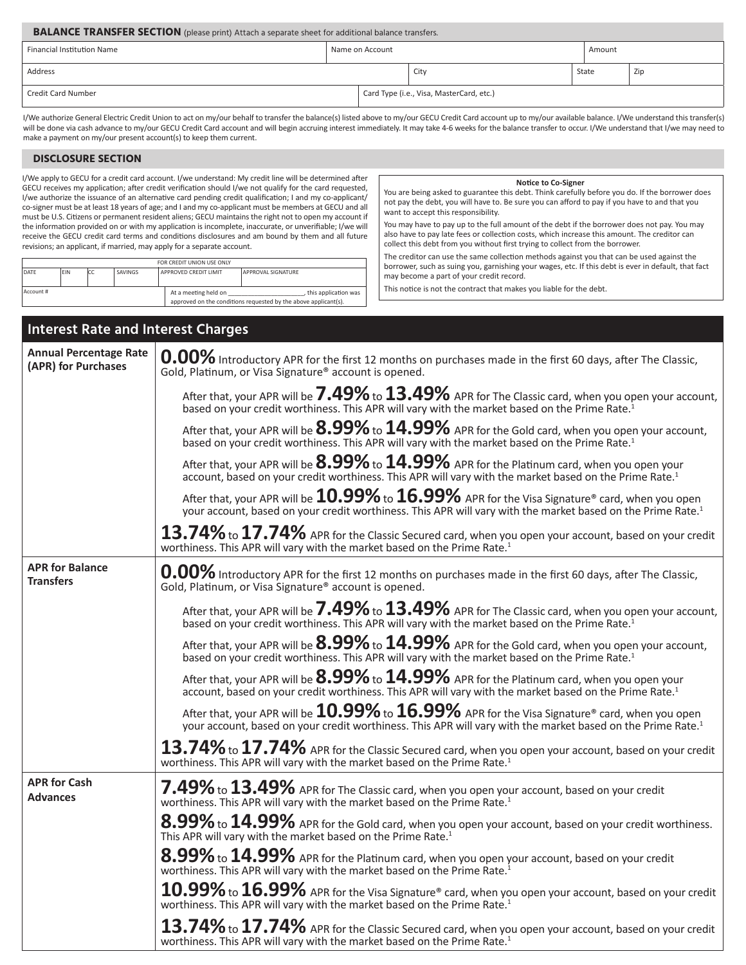| <b>BALANCE TRANSFER SECTION</b> (please print) Attach a separate sheet for additional balance transfers. |  |  |                                          |       |        |     |
|----------------------------------------------------------------------------------------------------------|--|--|------------------------------------------|-------|--------|-----|
| <b>Financial Institution Name</b><br>Name on Account                                                     |  |  |                                          |       | Amount |     |
| Address                                                                                                  |  |  | City                                     | State |        | Zip |
| Credit Card Number                                                                                       |  |  | Card Type (i.e., Visa, MasterCard, etc.) |       |        |     |

I/We authorize General Electric Credit Union to act on my/our behalf to transfer the balance(s) listed above to my/our GECU Credit Card account up to my/our available balance. I/We understand this transfer(s) will be done via cash advance to my/our GECU Credit Card account and will begin accruing interest immediately. It may take 4-6 weeks for the balance transfer to occur. I/We understand that I/we may need to make a payment on my/our present account(s) to keep them current.

## **DISCLOSURE SECTION**

Account #

I/We apply to GECU for a credit card account. I/we understand: My credit line will be determined after GECU receives my application; after credit verification should I/we not qualify for the card requested, I/we authorize the issuance of an alternative card pending credit qualification; I and my co-applicant/ co-signer must be at least 18 years of age; and I and my co-applicant must be members at GECU and all must be U.S. Citizens or permanent resident aliens; GECU maintains the right not to open my account if the information provided on or with my application is incomplete, inaccurate, or unverifiable; I/we will receive the GECU credit card terms and conditions disclosures and am bound by them and all future revisions; an applicant, if married, may apply for a separate account.

FOR CREDIT UNION USE ONLY

DATE EIN CC SAVINGS APPROVED CREDIT LIMIT APPROVAL SIGNATURE

At a meeting held on \_\_\_\_\_\_\_\_\_\_\_\_\_\_\_\_\_\_\_\_\_\_\_\_\_, this application was approved on the conditions requested by the above applicant(s).

## **Notice to Co-Signer**

You are being asked to guarantee this debt. Think carefully before you do. If the borrower does not pay the debt, you will have to. Be sure you can afford to pay if you have to and that you want to accept this responsibility.

You may have to pay up to the full amount of the debt if the borrower does not pay. You may also have to pay late fees or collection costs, which increase this amount. The creditor can collect this debt from you without first trying to collect from the borrower.

The creditor can use the same collection methods against you that can be used against the borrower, such as suing you, garnishing your wages, etc. If this debt is ever in default, that fact may become a part of your credit record.

This notice is not the contract that makes you liable for the debt.

| Interest Rate and Interest Charges                   |                                                                                                                                                                                                                                |  |  |  |  |
|------------------------------------------------------|--------------------------------------------------------------------------------------------------------------------------------------------------------------------------------------------------------------------------------|--|--|--|--|
| <b>Annual Percentage Rate</b><br>(APR) for Purchases | 0.00% Introductory APR for the first 12 months on purchases made in the first 60 days, after The Classic,<br>Gold, Platinum, or Visa Signature® account is opened.                                                             |  |  |  |  |
|                                                      | After that, your APR will be $7.49\%$ to $13.49\%$ APR for The Classic card, when you open your account,<br>based on your credit worthiness. This APR will vary with the market based on the Prime Rate. <sup>1</sup>          |  |  |  |  |
|                                                      | After that, your APR will be $8.99\%$ to $14.99\%$ APR for the Gold card, when you open your account,<br>based on your credit worthiness. This APR will vary with the market based on the Prime Rate. <sup>1</sup>             |  |  |  |  |
|                                                      | After that, your APR will be $8.99\%$ to $14.99\%$ APR for the Platinum card, when you open your<br>account, based on your credit worthiness. This APR will vary with the market based on the Prime Rate. <sup>1</sup>         |  |  |  |  |
|                                                      | After that, your APR will be $10.99\%$ to $16.99\%$ APR for the Visa Signature® card, when you open<br>your account, based on your credit worthiness. This APR will vary with the market based on the Prime Rate. <sup>1</sup> |  |  |  |  |
|                                                      | $13.74\%$ to $17.74\%$ APR for the Classic Secured card, when you open your account, based on your credit<br>worthiness. This APR will vary with the market based on the Prime Rate. <sup>1</sup>                              |  |  |  |  |
| <b>APR for Balance</b><br><b>Transfers</b>           | 0.00% Introductory APR for the first 12 months on purchases made in the first 60 days, after The Classic,<br>Gold, Platinum, or Visa Signature <sup>®</sup> account is opened.                                                 |  |  |  |  |
|                                                      | After that, your APR will be $7.49\%$ to $13.49\%$ APR for The Classic card, when you open your account,<br>based on your credit worthiness. This APR will vary with the market based on the Prime Rate. <sup>1</sup>          |  |  |  |  |
|                                                      | After that, your APR will be $8.99\%$ to $14.99\%$ APR for the Gold card, when you open your account,<br>based on your credit worthiness. This APR will vary with the market based on the Prime Rate. <sup>1</sup>             |  |  |  |  |
|                                                      | After that, your APR will be $8.99\%$ to $14.99\%$ APR for the Platinum card, when you open your<br>account, based on your credit worthiness. This APR will vary with the market based on the Prime Rate. <sup>1</sup>         |  |  |  |  |
|                                                      | After that, your APR will be $10.99\%$ to $16.99\%$ APR for the Visa Signature® card, when you open<br>your account, based on your credit worthiness. This APR will vary with the market based on the Prime Rate. <sup>1</sup> |  |  |  |  |
|                                                      | $13.74\%$ to $17.74\%$ APR for the Classic Secured card, when you open your account, based on your credit<br>worthiness. This APR will vary with the market based on the Prime Rate. <sup>1</sup>                              |  |  |  |  |
| <b>APR for Cash</b><br><b>Advances</b>               | $7.49\%$ to $13.49\%$ APR for The Classic card, when you open your account, based on your credit<br>worthiness. This APR will vary with the market based on the Prime Rate. <sup>1</sup>                                       |  |  |  |  |
|                                                      | $8.99\%$ to $14.99\%$ APR for the Gold card, when you open your account, based on your credit worthiness.<br>This APR will vary with the market based on the Prime Rate. <sup>1</sup>                                          |  |  |  |  |
|                                                      | $8.99\%$ to $14.99\%$ APR for the Platinum card, when you open your account, based on your credit<br>worthiness. This APR will vary with the market based on the Prime Rate. <sup>1</sup>                                      |  |  |  |  |
|                                                      | $10.99\%$ to $16.99\%$ APR for the Visa Signature® card, when you open your account, based on your credit<br>worthiness. This APR will vary with the market based on the Prime Rate. <sup>1</sup>                              |  |  |  |  |
|                                                      | $13.74\%$ to $17.74\%$ APR for the Classic Secured card, when you open your account, based on your credit<br>worthiness. This APR will vary with the market based on the Prime Rate. <sup>1</sup>                              |  |  |  |  |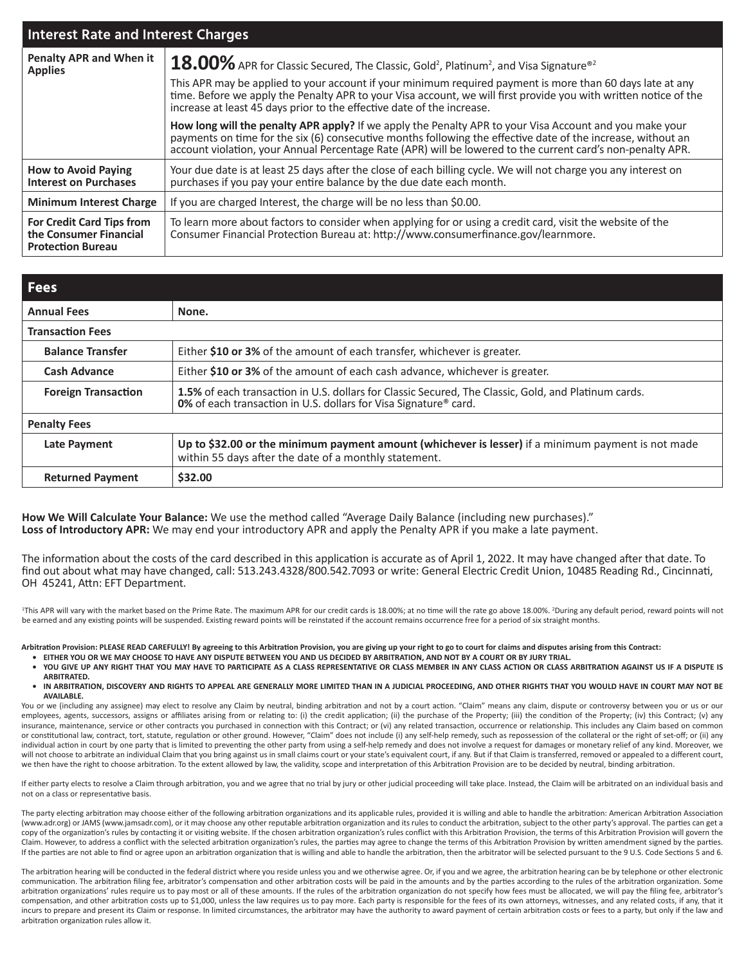| <b>Interest Rate and Interest Charges</b>                                              |                                                                                                                                                                                                                                                                                                                                        |  |  |  |  |  |
|----------------------------------------------------------------------------------------|----------------------------------------------------------------------------------------------------------------------------------------------------------------------------------------------------------------------------------------------------------------------------------------------------------------------------------------|--|--|--|--|--|
| <b>Penalty APR and When it</b><br><b>Applies</b>                                       | 18.00% APR for Classic Secured, The Classic, Gold <sup>2</sup> , Platinum <sup>2</sup> , and Visa Signature <sup>®2</sup>                                                                                                                                                                                                              |  |  |  |  |  |
|                                                                                        | This APR may be applied to your account if your minimum required payment is more than 60 days late at any<br>time. Before we apply the Penalty APR to your Visa account, we will first provide you with written notice of the<br>increase at least 45 days prior to the effective date of the increase.                                |  |  |  |  |  |
|                                                                                        | How long will the penalty APR apply? If we apply the Penalty APR to your Visa Account and you make your<br>payments on time for the six (6) consecutive months following the effective date of the increase, without an<br>account violation, your Annual Percentage Rate (APR) will be lowered to the current card's non-penalty APR. |  |  |  |  |  |
| <b>How to Avoid Paying</b><br><b>Interest on Purchases</b>                             | Your due date is at least 25 days after the close of each billing cycle. We will not charge you any interest on<br>purchases if you pay your entire balance by the due date each month.                                                                                                                                                |  |  |  |  |  |
| <b>Minimum Interest Charge</b>                                                         | If you are charged Interest, the charge will be no less than \$0.00.                                                                                                                                                                                                                                                                   |  |  |  |  |  |
| <b>For Credit Card Tips from</b><br>the Consumer Financial<br><b>Protection Bureau</b> | To learn more about factors to consider when applying for or using a credit card, visit the website of the<br>Consumer Financial Protection Bureau at: http://www.consumerfinance.gov/learnmore.                                                                                                                                       |  |  |  |  |  |

| <b>Fees</b>                |                                                                                                                                                                                 |  |  |  |
|----------------------------|---------------------------------------------------------------------------------------------------------------------------------------------------------------------------------|--|--|--|
| <b>Annual Fees</b>         | None.                                                                                                                                                                           |  |  |  |
| <b>Transaction Fees</b>    |                                                                                                                                                                                 |  |  |  |
| <b>Balance Transfer</b>    | Either \$10 or 3% of the amount of each transfer, whichever is greater.                                                                                                         |  |  |  |
| <b>Cash Advance</b>        | Either \$10 or 3% of the amount of each cash advance, whichever is greater.                                                                                                     |  |  |  |
| <b>Foreign Transaction</b> | <b>1.5%</b> of each transaction in U.S. dollars for Classic Secured, The Classic, Gold, and Platinum cards.<br>0% of each transaction in U.S. dollars for Visa Signature® card. |  |  |  |
| <b>Penalty Fees</b>        |                                                                                                                                                                                 |  |  |  |
| <b>Late Payment</b>        | Up to \$32.00 or the minimum payment amount (whichever is lesser) if a minimum payment is not made<br>within 55 days after the date of a monthly statement.                     |  |  |  |
| <b>Returned Payment</b>    | \$32.00                                                                                                                                                                         |  |  |  |

**How We Will Calculate Your Balance:** We use the method called "Average Daily Balance (including new purchases)." **Loss of Introductory APR:** We may end your introductory APR and apply the Penalty APR if you make a late payment.

The information about the costs of the card described in this application is accurate as of April 1, 2022. It may have changed after that date. To find out about what may have changed, call: 513.243.4328/800.542.7093 or write: General Electric Credit Union, 10485 Reading Rd., Cincinnati, OH 45241, Attn: EFT Department.

<sup>1</sup>This APR will vary with the market based on the Prime Rate. The maximum APR for our credit cards is 18.00%; at no time will the rate go above 18.00%. <sup>2</sup>During any default period, reward points will not be earned and any existing points will be suspended. Existing reward points will be reinstated if the account remains occurrence free for a period of six straight months.

**Arbitration Provision: PLEASE READ CAREFULLY! By agreeing to this Arbitration Provision, you are giving up your right to go to court for claims and disputes arising from this Contract:**

- **• EITHER YOU OR WE MAY CHOOSE TO HAVE ANY DISPUTE BETWEEN YOU AND US DECIDED BY ARBITRATION, AND NOT BY A COURT OR BY JURY TRIAL.**
- **• YOU GIVE UP ANY RIGHT THAT YOU MAY HAVE TO PARTICIPATE AS A CLASS REPRESENTATIVE OR CLASS MEMBER IN ANY CLASS ACTION OR CLASS ARBITRATION AGAINST US IF A DISPUTE IS ARBITRATED.**
- **• IN ARBITRATION, DISCOVERY AND RIGHTS TO APPEAL ARE GENERALLY MORE LIMITED THAN IN A JUDICIAL PROCEEDING, AND OTHER RIGHTS THAT YOU WOULD HAVE IN COURT MAY NOT BE AVAILABLE.**

You or we (including any assignee) may elect to resolve any Claim by neutral, binding arbitration and not by a court action. "Claim" means any claim, dispute or controversy between you or us or our employees, agents, successors, assigns or affiliates arising from or relating to: (i) the credit application; (ii) the purchase of the Property; (iii) the condition of the Property; (iv) this Contract; (v) any insurance, maintenance, service or other contracts you purchased in connection with this Contract; or (vi) any related transaction, occurrence or relationship. This includes any Claim based on common or constitutional law, contract, tort, statute, regulation or other ground. However, "Claim" does not include (i) any self-help remedy, such as repossession of the collateral or the right of set-off; or (ii) any individual action in court by one party that is limited to preventing the other party from using a self-help remedy and does not involve a request for damages or monetary relief of any kind. Moreover, we will not choose to arbitrate an individual Claim that you bring against us in small claims court or your state's equivalent court, if any. But if that Claim is transferred, removed or appealed to a different court, we then have the right to choose arbitration. To the extent allowed by law, the validity, scope and interpretation of this Arbitration Provision are to be decided by neutral, binding arbitration

If either party elects to resolve a Claim through arbitration, you and we agree that no trial by jury or other judicial proceeding will take place. Instead, the Claim will be arbitrated on an individual basis and not on a class or representative basis.

The party electing arbitration may choose either of the following arbitration organizations and its applicable rules, provided it is willing and able to handle the arbitration: American Arbitration Association (www.adr.org) or JAMS (www.jamsadr.com), or it may choose any other reputable arbitration organization and its rules to conduct the arbitration, subject to the other party's approval. The parties can get a copy of the organization's rules by contacting it or visiting website. If the chosen arbitration organization's rules conflict with this Arbitration Provision, the terms of this Arbitration Provision will govern the Claim. However, to address a conflict with the selected arbitration organization's rules, the parties may agree to change the terms of this Arbitration Provision by written amendment signed by the parties. If the parties are not able to find or agree upon an arbitration organization that is willing and able to handle the arbitration, then the arbitrator will be selected pursuant to the 9 U.S. Code Sections 5 and 6.

The arbitration hearing will be conducted in the federal district where you reside unless you and we otherwise agree. Or, if you and we agree, the arbitration hearing can be by telephone or other electronic communication. The arbitration filing fee, arbitrator's compensation and other arbitration costs will be paid in the amounts and by the parties according to the rules of the arbitration organization. Some arbitration organizations' rules require us to pay most or all of these amounts. If the rules of the arbitration organization do not specify how fees must be allocated, we will pay the filing fee, arbitrator's compensation, and other arbitration costs up to \$1,000, unless the law requires us to pay more. Each party is responsible for the fees of its own attorneys, witnesses, and any related costs, if any, that it incurs to prepare and present its Claim or response. In limited circumstances, the arbitrator may have the authority to award payment of certain arbitration costs or fees to a party, but only if the law and arbitration organization rules allow it.